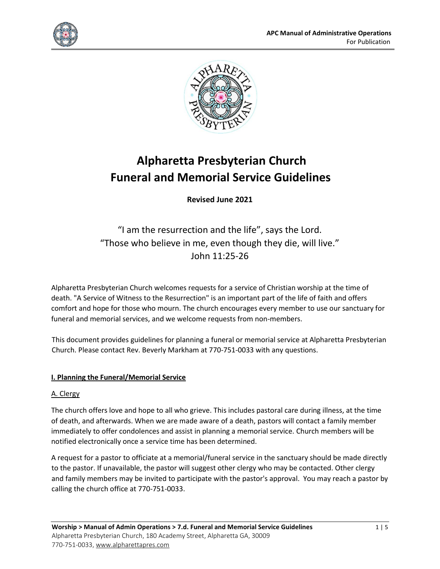



# **Alpharetta Presbyterian Church Funeral and Memorial Service Guidelines**

**Revised June 2021**

"I am the resurrection and the life", says the Lord. "Those who believe in me, even though they die, will live." John 11:25-26

Alpharetta Presbyterian Church welcomes requests for a service of Christian worship at the time of death. "A Service of Witness to the Resurrection" is an important part of the life of faith and offers comfort and hope for those who mourn. The church encourages every member to use our sanctuary for funeral and memorial services, and we welcome requests from non-members.

This document provides guidelines for planning a funeral or memorial service at Alpharetta Presbyterian Church. Please contact Rev. Beverly Markham at 770-751-0033 with any questions.

### **I. Planning the Funeral/Memorial Service**

### A. Clergy

The church offers love and hope to all who grieve. This includes pastoral care during illness, at the time of death, and afterwards. When we are made aware of a death, pastors will contact a family member immediately to offer condolences and assist in planning a memorial service. Church members will be notified electronically once a service time has been determined.

A request for a pastor to officiate at a memorial/funeral service in the sanctuary should be made directly to the pastor. If unavailable, the pastor will suggest other clergy who may be contacted. Other clergy and family members may be invited to participate with the pastor's approval. You may reach a pastor by calling the church office at 770-751-0033.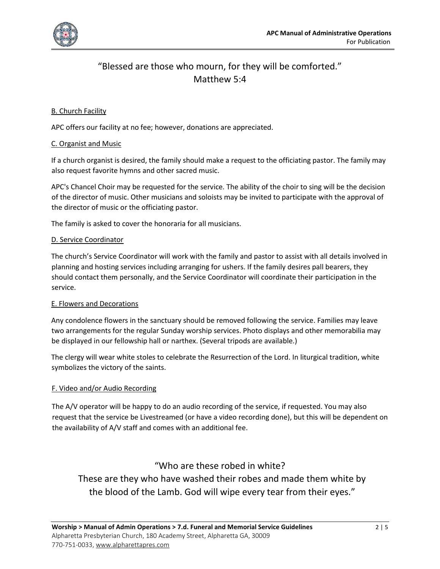

## "Blessed are those who mourn, for they will be comforted." Matthew 5:4

### B. Church Facility

APC offers our facility at no fee; however, donations are appreciated.

### C. Organist and Music

If a church organist is desired, the family should make a request to the officiating pastor. The family may also request favorite hymns and other sacred music.

APC's Chancel Choir may be requested for the service. The ability of the choir to sing will be the decision of the director of music. Other musicians and soloists may be invited to participate with the approval of the director of music or the officiating pastor.

The family is asked to cover the honoraria for all musicians.

### D. Service Coordinator

The church's Service Coordinator will work with the family and pastor to assist with all details involved in planning and hosting services including arranging for ushers. If the family desires pall bearers, they should contact them personally, and the Service Coordinator will coordinate their participation in the service.

### E. Flowers and Decorations

Any condolence flowers in the sanctuary should be removed following the service. Families may leave two arrangements for the regular Sunday worship services. Photo displays and other memorabilia may be displayed in our fellowship hall or narthex. (Several tripods are available.)

The clergy will wear white stoles to celebrate the Resurrection of the Lord. In liturgical tradition, white symbolizes the victory of the saints.

### F. Video and/or Audio Recording

The A/V operator will be happy to do an audio recording of the service, if requested. You may also request that the service be Livestreamed (or have a video recording done), but this will be dependent on the availability of A/V staff and comes with an additional fee.

### "Who are these robed in white?

These are they who have washed their robes and made them white by the blood of the Lamb. God will wipe every tear from their eyes."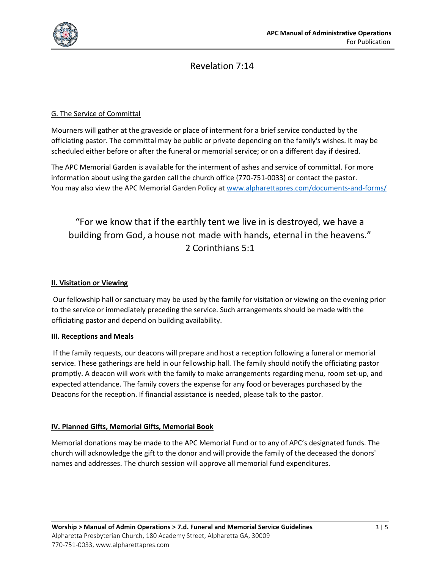

### Revelation 7:14

### G. The Service of Committal

Mourners will gather at the graveside or place of interment for a brief service conducted by the officiating pastor. The committal may be public or private depending on the family's wishes. It may be scheduled either before or after the funeral or memorial service; or on a different day if desired.

The APC Memorial Garden is available for the interment of ashes and service of committal. For more information about using the garden call the church office (770-751-0033) or contact the pastor. You may also view the APC Memorial Garden Policy a[t www.alpharettapres.com/documents-and-forms/](http://www.alpharettapres.com/documents-and-forms/)

# "For we know that if the earthly tent we live in is destroyed, we have a building from God, a house not made with hands, eternal in the heavens." 2 Corinthians 5:1

#### **II. Visitation or Viewing**

Our fellowship hall or sanctuary may be used by the family for visitation or viewing on the evening prior to the service or immediately preceding the service. Such arrangements should be made with the officiating pastor and depend on building availability.

#### **III. Receptions and Meals**

If the family requests, our deacons will prepare and host a reception following a funeral or memorial service. These gatherings are held in our fellowship hall. The family should notify the officiating pastor promptly. A deacon will work with the family to make arrangements regarding menu, room set-up, and expected attendance. The family covers the expense for any food or beverages purchased by the Deacons for the reception. If financial assistance is needed, please talk to the pastor.

#### **IV. Planned Gifts, Memorial Gifts, Memorial Book**

Memorial donations may be made to the APC Memorial Fund or to any of APC's designated funds. The church will acknowledge the gift to the donor and will provide the family of the deceased the donors' names and addresses. The church session will approve all memorial fund expenditures.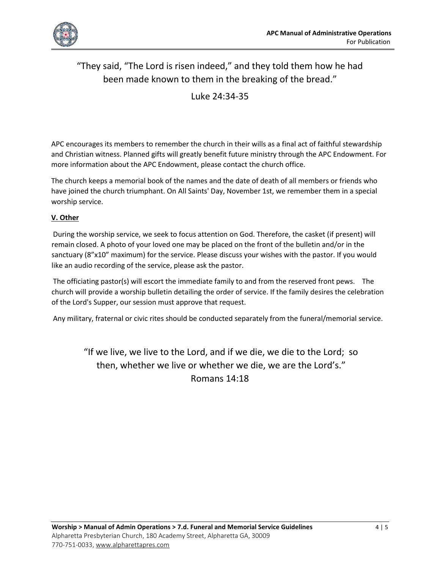

# "They said, "The Lord is risen indeed," and they told them how he had been made known to them in the breaking of the bread."

Luke 24:34-35

APC encourages its members to remember the church in their wills as a final act of faithful stewardship and Christian witness. Planned gifts will greatly benefit future ministry through the APC Endowment. For more information about the APC Endowment, please contact the church office.

The church keeps a memorial book of the names and the date of death of all members or friends who have joined the church triumphant. On All Saints' Day, November 1st, we remember them in a special worship service.

### **V. Other**

During the worship service, we seek to focus attention on God. Therefore, the casket (if present) will remain closed. A photo of your loved one may be placed on the front of the bulletin and/or in the sanctuary (8"x10" maximum) for the service. Please discuss your wishes with the pastor. If you would like an audio recording of the service, please ask the pastor.

The officiating pastor(s) will escort the immediate family to and from the reserved front pews. The church will provide a worship bulletin detailing the order of service. If the family desires the celebration of the Lord's Supper, our session must approve that request.

Any military, fraternal or civic rites should be conducted separately from the funeral/memorial service.

"If we live, we live to the Lord, and if we die, we die to the Lord; so then, whether we live or whether we die, we are the Lord's." Romans 14:18